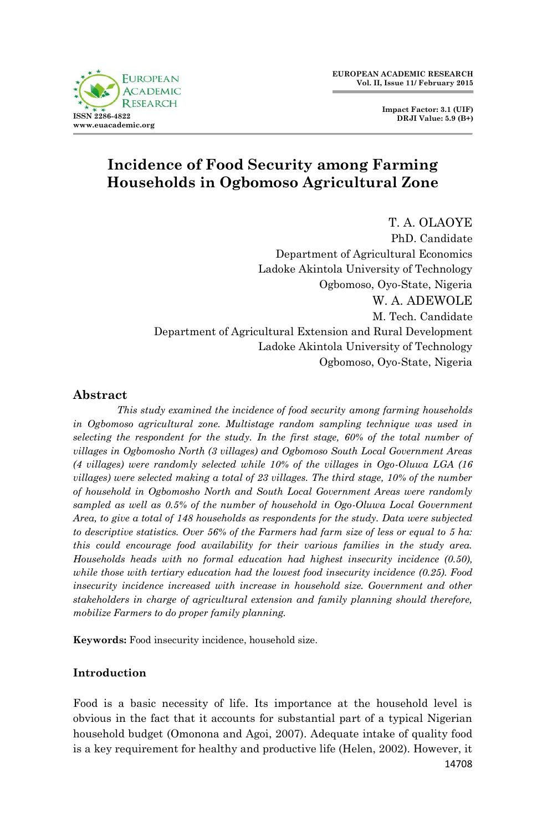

**Impact Factor: 3.1 (UIF) DRJI Value: 5.9 (B+)**

# **Incidence of Food Security among Farming Households in Ogbomoso Agricultural Zone**

T. A. OLAOYE PhD. Candidate Department of Agricultural Economics Ladoke Akintola University of Technology Ogbomoso, Oyo-State, Nigeria W. A. ADEWOLE M. Tech. Candidate Department of Agricultural Extension and Rural Development Ladoke Akintola University of Technology Ogbomoso, Oyo-State, Nigeria

# **Abstract**

*This study examined the incidence of food security among farming households in Ogbomoso agricultural zone. Multistage random sampling technique was used in selecting the respondent for the study. In the first stage, 60% of the total number of villages in Ogbomosho North (3 villages) and Ogbomoso South Local Government Areas (4 villages) were randomly selected while 10% of the villages in Ogo-Oluwa LGA (16 villages) were selected making a total of 23 villages. The third stage, 10% of the number of household in Ogbomosho North and South Local Government Areas were randomly sampled as well as 0.5% of the number of household in Ogo-Oluwa Local Government Area, to give a total of 148 households as respondents for the study. Data were subjected to descriptive statistics. Over 56% of the Farmers had farm size of less or equal to 5 ha: this could encourage food availability for their various families in the study area. Households heads with no formal education had highest insecurity incidence (0.50), while those with tertiary education had the lowest food insecurity incidence (0.25). Food insecurity incidence increased with increase in household size. Government and other stakeholders in charge of agricultural extension and family planning should therefore, mobilize Farmers to do proper family planning.* 

**Keywords:** Food insecurity incidence, household size.

# **Introduction**

Food is a basic necessity of life. Its importance at the household level is obvious in the fact that it accounts for substantial part of a typical Nigerian household budget (Omonona and Agoi, 2007). Adequate intake of quality food is a key requirement for healthy and productive life (Helen, 2002). However, it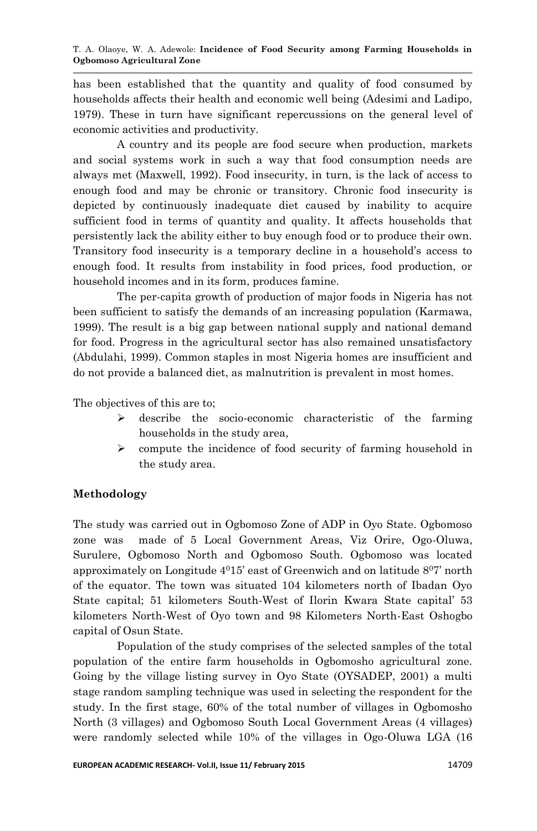has been established that the quantity and quality of food consumed by households affects their health and economic well being (Adesimi and Ladipo, 1979). These in turn have significant repercussions on the general level of economic activities and productivity.

A country and its people are food secure when production, markets and social systems work in such a way that food consumption needs are always met (Maxwell, 1992). Food insecurity, in turn, is the lack of access to enough food and may be chronic or transitory. Chronic food insecurity is depicted by continuously inadequate diet caused by inability to acquire sufficient food in terms of quantity and quality. It affects households that persistently lack the ability either to buy enough food or to produce their own. Transitory food insecurity is a temporary decline in a household's access to enough food. It results from instability in food prices, food production, or household incomes and in its form, produces famine.

The per-capita growth of production of major foods in Nigeria has not been sufficient to satisfy the demands of an increasing population (Karmawa, 1999). The result is a big gap between national supply and national demand for food. Progress in the agricultural sector has also remained unsatisfactory (Abdulahi, 1999). Common staples in most Nigeria homes are insufficient and do not provide a balanced diet, as malnutrition is prevalent in most homes.

The objectives of this are to;

- $\triangleright$  describe the socio-economic characteristic of the farming households in the study area,
- $\geq$  compute the incidence of food security of farming household in the study area.

## **Methodology**

The study was carried out in Ogbomoso Zone of ADP in Oyo State. Ogbomoso zone was made of 5 Local Government Areas, Viz Orire, Ogo-Oluwa, Surulere, Ogbomoso North and Ogbomoso South. Ogbomoso was located approximately on Longitude  $4^{0}15'$  east of Greenwich and on latitude  $8^{0}7'$  north of the equator. The town was situated 104 kilometers north of Ibadan Oyo State capital; 51 kilometers South-West of Ilorin Kwara State capital' 53 kilometers North-West of Oyo town and 98 Kilometers North-East Oshogbo capital of Osun State.

Population of the study comprises of the selected samples of the total population of the entire farm households in Ogbomosho agricultural zone. Going by the village listing survey in Oyo State (OYSADEP, 2001) a multi stage random sampling technique was used in selecting the respondent for the study. In the first stage, 60% of the total number of villages in Ogbomosho North (3 villages) and Ogbomoso South Local Government Areas (4 villages) were randomly selected while 10% of the villages in Ogo-Oluwa LGA (16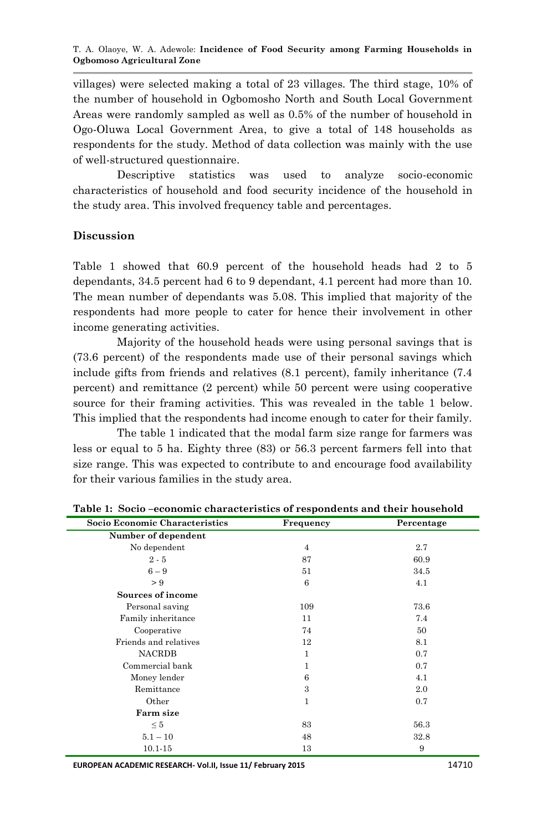villages) were selected making a total of 23 villages. The third stage, 10% of the number of household in Ogbomosho North and South Local Government Areas were randomly sampled as well as 0.5% of the number of household in Ogo-Oluwa Local Government Area, to give a total of 148 households as respondents for the study. Method of data collection was mainly with the use of well-structured questionnaire.

Descriptive statistics was used to analyze socio-economic characteristics of household and food security incidence of the household in the study area. This involved frequency table and percentages.

# **Discussion**

Table 1 showed that 60.9 percent of the household heads had 2 to 5 dependants, 34.5 percent had 6 to 9 dependant, 4.1 percent had more than 10. The mean number of dependants was 5.08. This implied that majority of the respondents had more people to cater for hence their involvement in other income generating activities.

Majority of the household heads were using personal savings that is (73.6 percent) of the respondents made use of their personal savings which include gifts from friends and relatives (8.1 percent), family inheritance (7.4 percent) and remittance (2 percent) while 50 percent were using cooperative source for their framing activities. This was revealed in the table 1 below. This implied that the respondents had income enough to cater for their family.

The table 1 indicated that the modal farm size range for farmers was less or equal to 5 ha. Eighty three (83) or 56.3 percent farmers fell into that size range. This was expected to contribute to and encourage food availability for their various families in the study area.

| Socio Economic Characteristics | Frequency      | Percentage |  |  |  |
|--------------------------------|----------------|------------|--|--|--|
| Number of dependent            |                |            |  |  |  |
| No dependent                   | $\overline{4}$ | 2.7        |  |  |  |
| $2 - 5$                        | 87             | 60.9       |  |  |  |
| $6-9$                          | 51             | 34.5       |  |  |  |
| > 9                            | 6              | 4.1        |  |  |  |
| Sources of income              |                |            |  |  |  |
| Personal saving                | 109            | 73.6       |  |  |  |
| Family inheritance             | 11             | 7.4        |  |  |  |
| Cooperative                    | 74             | 50         |  |  |  |
| Friends and relatives          | 12             | 8.1        |  |  |  |
| <b>NACRDB</b>                  | 1              | 0.7        |  |  |  |
| Commercial bank                | 1              | 0.7        |  |  |  |
| Money lender                   | 6              | 4.1        |  |  |  |
| Remittance                     | 3              | 2.0        |  |  |  |
| Other                          | 1              | 0.7        |  |  |  |
| Farm size                      |                |            |  |  |  |
| $\leq 5$                       | 83             | 56.3       |  |  |  |
| $5.1 - 10$                     | 48             | 32.8       |  |  |  |
| $10.1 - 15$                    | 13             | 9          |  |  |  |

**Table 1: Socio –economic characteristics of respondents and their household**

**EUROPEAN ACADEMIC RESEARCH- Vol.II, Issue 11/ February 2015** 14710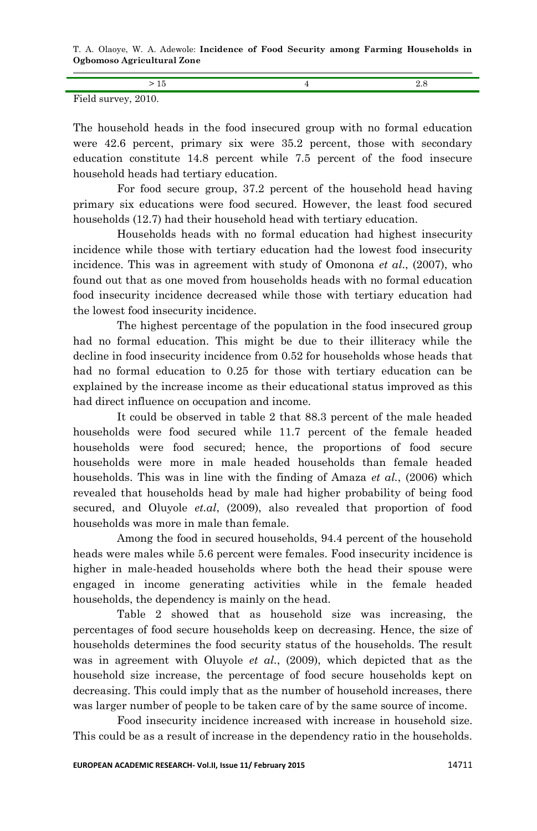T. A. Olaoye, W. A. Adewole: **Incidence of Food Security among Farming Households in Ogbomoso Agricultural Zone**

| Field survey, 2010. |  |
|---------------------|--|

The household heads in the food insecured group with no formal education were 42.6 percent, primary six were 35.2 percent, those with secondary education constitute 14.8 percent while 7.5 percent of the food insecure household heads had tertiary education.

For food secure group, 37.2 percent of the household head having primary six educations were food secured. However, the least food secured households (12.7) had their household head with tertiary education.

Households heads with no formal education had highest insecurity incidence while those with tertiary education had the lowest food insecurity incidence. This was in agreement with study of Omonona *et al*., (2007), who found out that as one moved from households heads with no formal education food insecurity incidence decreased while those with tertiary education had the lowest food insecurity incidence.

The highest percentage of the population in the food insecured group had no formal education. This might be due to their illiteracy while the decline in food insecurity incidence from 0.52 for households whose heads that had no formal education to 0.25 for those with tertiary education can be explained by the increase income as their educational status improved as this had direct influence on occupation and income.

It could be observed in table 2 that 88.3 percent of the male headed households were food secured while 11.7 percent of the female headed households were food secured; hence, the proportions of food secure households were more in male headed households than female headed households. This was in line with the finding of Amaza *et al.*, (2006) which revealed that households head by male had higher probability of being food secured, and Oluyole *et.al*, (2009), also revealed that proportion of food households was more in male than female.

Among the food in secured households, 94.4 percent of the household heads were males while 5.6 percent were females. Food insecurity incidence is higher in male-headed households where both the head their spouse were engaged in income generating activities while in the female headed households, the dependency is mainly on the head.

Table 2 showed that as household size was increasing, the percentages of food secure households keep on decreasing. Hence, the size of households determines the food security status of the households. The result was in agreement with Oluyole *et al.*, (2009), which depicted that as the household size increase, the percentage of food secure households kept on decreasing. This could imply that as the number of household increases, there was larger number of people to be taken care of by the same source of income.

Food insecurity incidence increased with increase in household size. This could be as a result of increase in the dependency ratio in the households.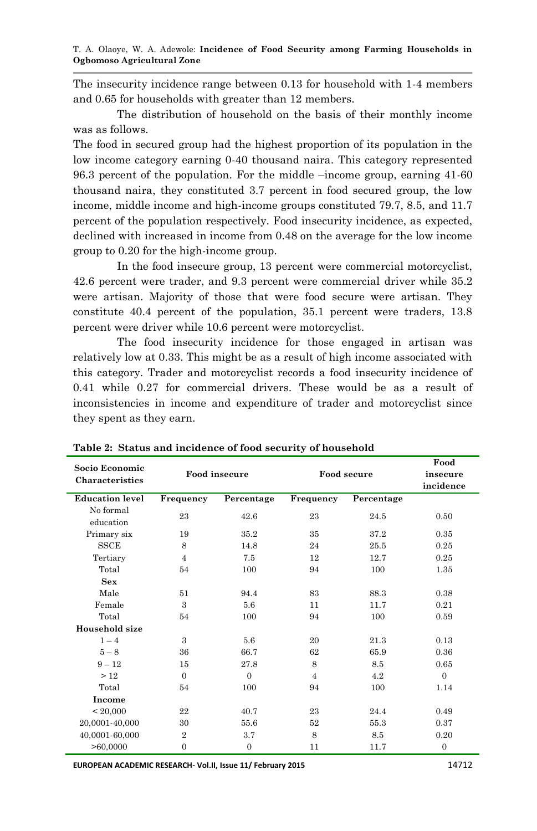The insecurity incidence range between 0.13 for household with 1-4 members and 0.65 for households with greater than 12 members.

The distribution of household on the basis of their monthly income was as follows.

The food in secured group had the highest proportion of its population in the low income category earning 0-40 thousand naira. This category represented 96.3 percent of the population. For the middle –income group, earning 41-60 thousand naira, they constituted 3.7 percent in food secured group, the low income, middle income and high-income groups constituted 79.7, 8.5, and 11.7 percent of the population respectively. Food insecurity incidence, as expected, declined with increased in income from 0.48 on the average for the low income group to 0.20 for the high-income group.

In the food insecure group, 13 percent were commercial motorcyclist, 42.6 percent were trader, and 9.3 percent were commercial driver while 35.2 were artisan. Majority of those that were food secure were artisan. They constitute 40.4 percent of the population, 35.1 percent were traders, 13.8 percent were driver while 10.6 percent were motorcyclist.

The food insecurity incidence for those engaged in artisan was relatively low at 0.33. This might be as a result of high income associated with this category. Trader and motorcyclist records a food insecurity incidence of 0.41 while 0.27 for commercial drivers. These would be as a result of inconsistencies in income and expenditure of trader and motorcyclist since they spent as they earn.

| Socio Economic         | Food insecure  |                | Food secure    |            | Food           |
|------------------------|----------------|----------------|----------------|------------|----------------|
| <b>Characteristics</b> |                |                |                |            | insecure       |
|                        |                |                |                |            | incidence      |
| <b>Education level</b> | Frequency      | Percentage     | Frequency      | Percentage |                |
| No formal              | 23             | 42.6           | 23             | 24.5       | 0.50           |
| education              |                |                |                |            |                |
| Primary six            | 19             | 35.2           | 35             | 37.2       | 0.35           |
| <b>SSCE</b>            | 8              | 14.8           | 24             | 25.5       | 0.25           |
| Tertiary               | $\overline{4}$ | 7.5            | 12             | 12.7       | 0.25           |
| Total                  | 54             | 100            | 94             | 100        | 1.35           |
| Sex                    |                |                |                |            |                |
| Male                   | 51             | 94.4           | 83             | 88.3       | 0.38           |
| Female                 | 3              | 5.6            | 11             | 11.7       | 0.21           |
| Total                  | 54             | 100            | 94             | 100        | 0.59           |
| Household size         |                |                |                |            |                |
| $1 - 4$                | 3              | 5.6            | 20             | 21.3       | 0.13           |
| $5 - 8$                | 36             | 66.7           | 62             | 65.9       | 0.36           |
| $9 - 12$               | 15             | 27.8           | 8              | 8.5        | 0.65           |
| >12                    | $\Omega$       | $\Omega$       | $\overline{4}$ | 4.2        | $\Omega$       |
| Total                  | 54             | 100            | 94             | 100        | 1.14           |
| Income                 |                |                |                |            |                |
| < 20,000               | 22             | 40.7           | 23             | 24.4       | 0.49           |
| 20,0001-40,000         | 30             | 55.6           | 52             | 55.3       | 0.37           |
| 40,0001-60,000         | $\overline{2}$ | 3.7            | 8              | 8.5        | 0.20           |
| >60,0000               | $\overline{0}$ | $\overline{0}$ | 11             | 11.7       | $\overline{0}$ |

**Table 2: Status and incidence of food security of household**

**EUROPEAN ACADEMIC RESEARCH- Vol.II, Issue 11/ February 2015** 14712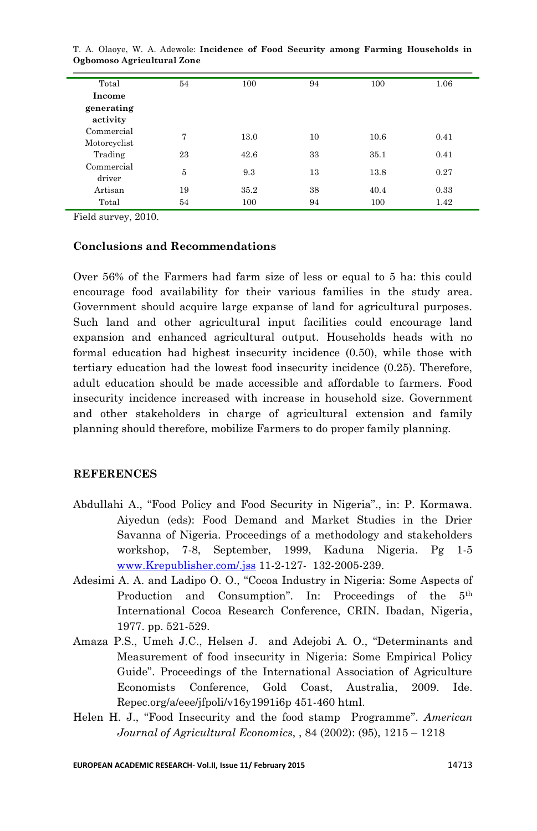| Total         | 54 | 100  | 94 | 100  | 1.06 |
|---------------|----|------|----|------|------|
| <b>Income</b> |    |      |    |      |      |
| generating    |    |      |    |      |      |
| activity      |    |      |    |      |      |
| Commercial    | 7  | 13.0 | 10 | 10.6 | 0.41 |
| Motorcyclist  |    |      |    |      |      |
| Trading       | 23 | 42.6 | 33 | 35.1 | 0.41 |
| Commercial    | 5  | 9.3  | 13 | 13.8 | 0.27 |
| driver        |    |      |    |      |      |
| Artisan       | 19 | 35.2 | 38 | 40.4 | 0.33 |
| Total         | 54 | 100  | 94 | 100  | 1.42 |

T. A. Olaoye, W. A. Adewole: **Incidence of Food Security among Farming Households in Ogbomoso Agricultural Zone**

Field survey, 2010.

### **Conclusions and Recommendations**

Over 56% of the Farmers had farm size of less or equal to 5 ha: this could encourage food availability for their various families in the study area. Government should acquire large expanse of land for agricultural purposes. Such land and other agricultural input facilities could encourage land expansion and enhanced agricultural output. Households heads with no formal education had highest insecurity incidence (0.50), while those with tertiary education had the lowest food insecurity incidence (0.25). Therefore, adult education should be made accessible and affordable to farmers. Food insecurity incidence increased with increase in household size. Government and other stakeholders in charge of agricultural extension and family planning should therefore, mobilize Farmers to do proper family planning.

### **REFERENCES**

- Abdullahi A., "Food Policy and Food Security in Nigeria"., in: P. Kormawa. Aiyedun (eds): Food Demand and Market Studies in the Drier Savanna of Nigeria. Proceedings of a methodology and stakeholders workshop, 7-8, September, 1999, Kaduna Nigeria. Pg 1-5 [www.Krepublisher.com/.jss](http://www.krepublisher.com/.jss) 11-2-127- 132-2005-239.
- Adesimi A. A. and Ladipo O. O., "Cocoa Industry in Nigeria: Some Aspects of Production and Consumption". In: Proceedings of the  $5<sup>th</sup>$ International Cocoa Research Conference, CRIN. Ibadan, Nigeria, 1977. pp. 521-529.
- Amaza P.S., Umeh J.C., Helsen J. and Adejobi A. O., "Determinants and Measurement of food insecurity in Nigeria: Some Empirical Policy Guide". Proceedings of the International Association of Agriculture Economists Conference, Gold Coast, Australia, 2009. Ide. Repec.org/a/eee/jfpoli/v16y1991i6p 451-460 html.
- Helen H. J., "Food Insecurity and the food stamp Programme". *American Journal of Agricultural Economics*, , 84 (2002): (95), 1215 – 1218